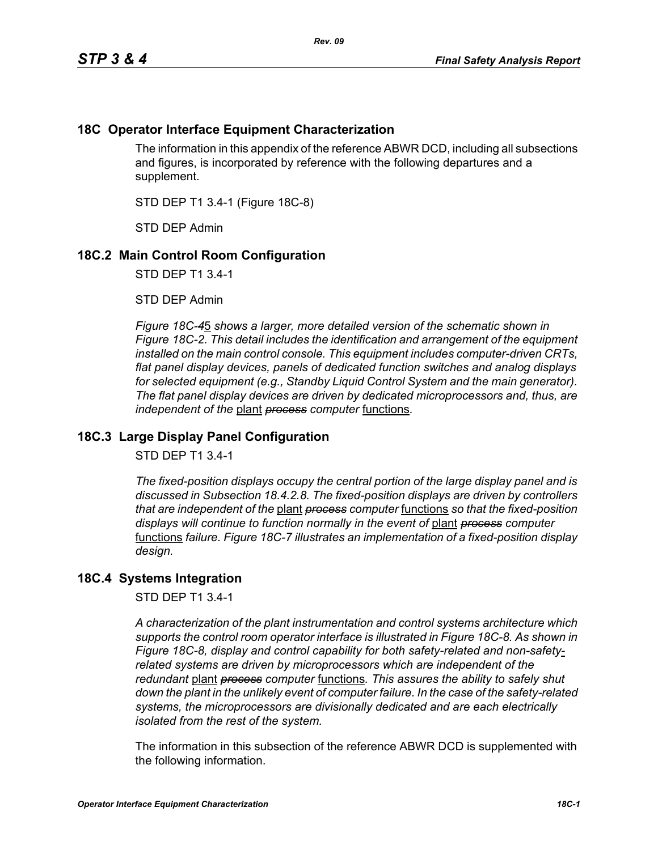## **18C Operator Interface Equipment Characterization**

The information in this appendix of the reference ABWR DCD, including all subsections and figures, is incorporated by reference with the following departures and a supplement.

STD DEP T1 3.4-1 (Figure 18C-8)

STD DEP Admin

## **18C.2 Main Control Room Configuration**

STD DEP T1 3.4-1

STD DEP Admin

*Figure 18C-4*5 *shows a larger, more detailed version of the schematic shown in Figure 18C-2. This detail includes the identification and arrangement of the equipment installed on the main control console. This equipment includes computer-driven CRTs, flat panel display devices, panels of dedicated function switches and analog displays for selected equipment (e.g., Standby Liquid Control System and the main generator). The flat panel display devices are driven by dedicated microprocessors and, thus, are independent of the* plant *process computer* functions*.*

## **18C.3 Large Display Panel Configuration**

STD DEP T1 3.4-1

*The fixed-position displays occupy the central portion of the large display panel and is discussed in Subsection 18.4.2.8. The fixed-position displays are driven by controllers that are independent of the* plant *process computer* functions *so that the fixed-position displays will continue to function normally in the event of* plant *process computer*  functions *failure. Figure 18C-7 illustrates an implementation of a fixed-position display design.*

## **18C.4 Systems Integration**

STD DEP T1 3.4-1

*A characterization of the plant instrumentation and control systems architecture which supports the control room operator interface is illustrated in Figure 18C-8. As shown in Figure 18C-8, display and control capability for both safety-related and non-safetyrelated systems are driven by microprocessors which are independent of the redundant* plant *process computer* functions*. This assures the ability to safely shut down the plant in the unlikely event of computer failure. In the case of the safety-related systems, the microprocessors are divisionally dedicated and are each electrically isolated from the rest of the system.*

The information in this subsection of the reference ABWR DCD is supplemented with the following information.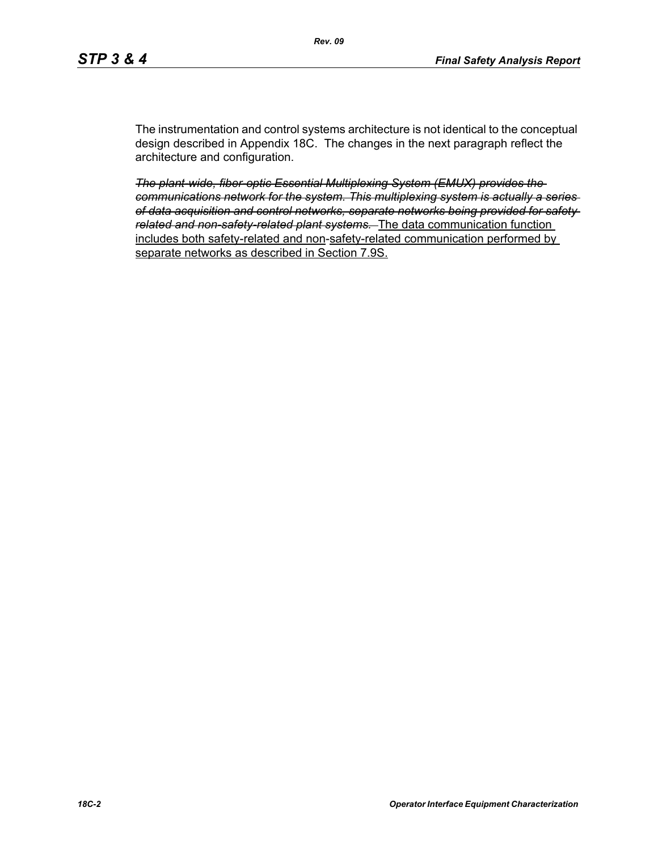The instrumentation and control systems architecture is not identical to the conceptual design described in Appendix 18C. The changes in the next paragraph reflect the architecture and configuration.

*The plant-wide, fiber-optic Essential Multiplexing System (EMUX) provides the communications network for the system. This multiplexing system is actually a series of data acquisition and control networks, separate networks being provided for safety related and non-safety-related plant systems.* The data communication function includes both safety-related and non-safety-related communication performed by separate networks as described in Section 7.9S.